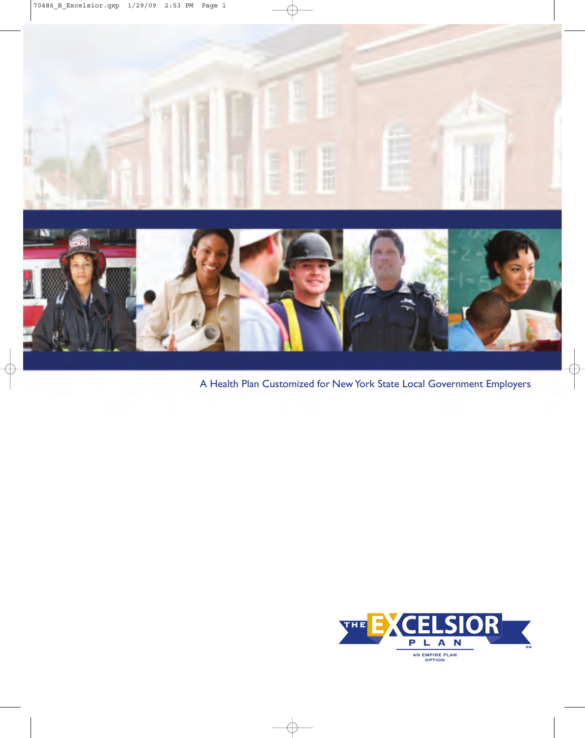

A Health Plan Customized for New York State Local Government Employers

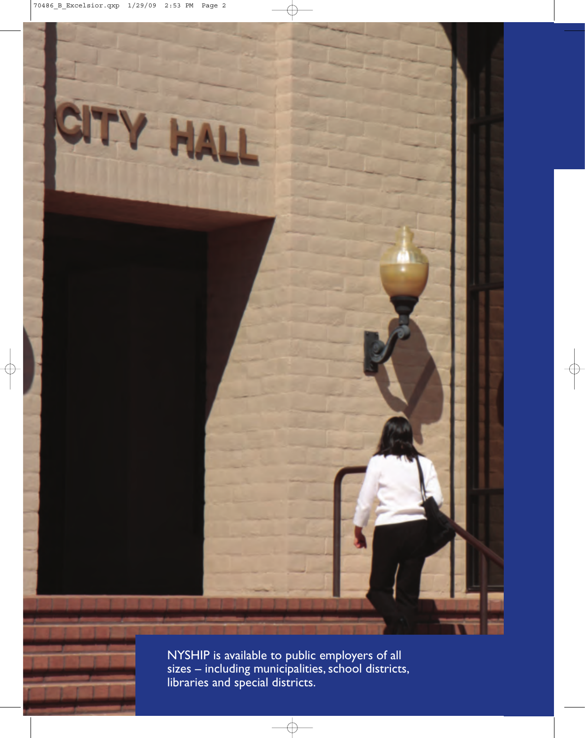

NYSHIP is available to public employers of all sizes **–** including municipalities, school districts, libraries and special districts.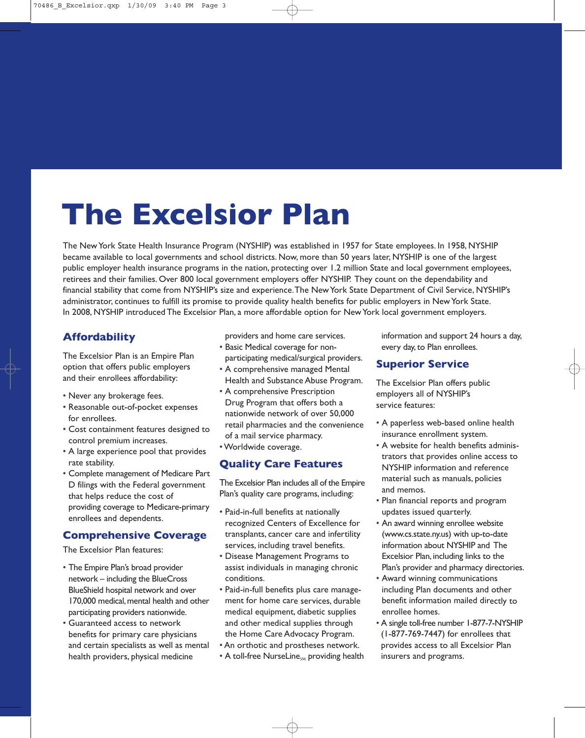# **The Excelsior Plan**

The New York State Health Insurance Program (NYSHIP) was established in 1957 for State employees. In 1958, NYSHIP became available to local governments and school districts. Now, more than 50 years later, NYSHIP is one of the largest public employer health insurance programs in the nation, protecting over 1.2 million State and local government employees, retirees and their families. Over 800 local government employers offer NYSHIP. They count on the dependability and financial stability that come from NYSHIP's size and experience. The New York State Department of Civil Service, NYSHIP's administrator, continues to fulfill its promise to provide quality health benefits for public employers in New York State. In 2008, NYSHIP introduced The Excelsior Plan, a more affordable option for New York local government employers.

# **Affordability**

The Excelsior Plan is an Empire Plan option that offers public employers and their enrollees affordability:

- Never any brokerage fees.
- Reasonable out-of-pocket expenses for enrollees.
- Cost containment features designed to control premium increases.
- A large experience pool that provides rate stability.
- Complete management of Medicare Part D filings with the Federal government that helps reduce the cost of providing coverage to Medicare-primary enrollees and dependents.

## **Comprehensive Coverage**

The Excelsior Plan features:

- The Empire Plan's broad provider network – including the BlueCross BlueShield hospital network and over 170,000 medical, mental health and other participating providers nationwide.
- Guaranteed access to network benefits for primary care physicians and certain specialists as well as mental health providers, physical medicine

providers and home care services.

- Basic Medical coverage for nonparticipating medical/surgical providers.
- A comprehensive managed Mental Health and Substance Abuse Program.
- A comprehensive Prescription Drug Program that offers both a nationwide network of over 50,000 retail pharmacies and the convenience of a mail service pharmacy.
- •Worldwide coverage.

# **Quality Care Features**

The Excelsior Plan includes all of the Empire Plan's quality care programs, including:

- Paid-in-full benefits at nationally recognized Centers of Excellence for transplants, cancer care and infertility services, including travel benefits.
- Disease Management Programs to assist individuals in managing chronic conditions.
- Paid-in-full benefits plus care management for home care services, durable medical equipment, diabetic supplies and other medical supplies through the Home Care Advocacy Program.
- An orthotic and prostheses network.
- A toll-free NurseLine<sub>SM</sub> providing health

information and support 24 hours a day, every day, to Plan enrollees.

## **Superior Service**

The Excelsior Plan offers public employers all of NYSHIP's service features:

- A paperless web-based online health insurance enrollment system.
- A website for health benefits administrators that provides online access to NYSHIP information and reference material such as manuals, policies and memos.
- Plan financial reports and program updates issued quarterly.
- An award winning enrollee website (www.cs.state.ny.us) with up-to-date information about NYSHIP and The Excelsior Plan, including links to the Plan's provider and pharmacy directories.
- Award winning communications including Plan documents and other benefit information mailed directly to enrollee homes.
- A single toll-free number 1-877-7-NYSHIP (1-877-769-7447) for enrollees that provides access to all Excelsior Plan insurers and programs.